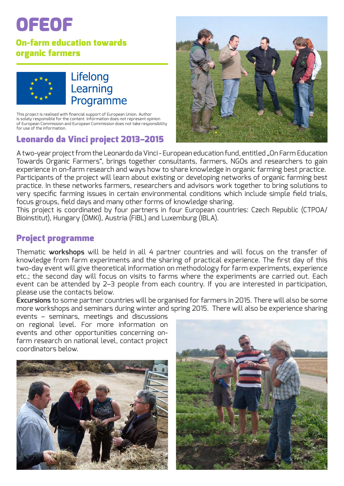# OFEOF

## On-farm education towards organic farmers



## Lifelong Learning Programme

This project is realised with financial support of European Union. Author is solely responsible for the content. Information does not represent opinion of European Commission and European Commission does not take responsibility for use of the information.

## Leonardo da Vinci project 2013–2015



A two-year project from the Leonardo da Vinci - European education fund, entitled "On Farm Education Towards Organic Farmers", brings together consultants, farmers, NGOs and researchers to gain experience in on-farm research and ways how to share knowledge in organic farming best practice. Participants of the project will learn about existing or developing networks of organic farming best practice. In these networks farmers, researchers and advisors work together to bring solutions to very specific farming issues in certain environmental conditions which include simple field trials, focus groups, field days and many other forms of knowledge sharing.

This project is coordinated by four partners in four European countries: Czech Republic (CTPOA/ Bioinstitut), Hungary (ÖMKi), Austria (FiBL) and Luxemburg (IBLA).

## Project programme

Thematic **workshops** will be held in all 4 partner countries and will focus on the transfer of knowledge from farm experiments and the sharing of practical experience. The first day of this two-day event will give theoretical information on methodology for farm experiments, experience etc.; the second day will focus on visits to farms where the experiments are carried out. Each event can be attended by 2–3 people from each country. If you are interested in participation, please use the contacts below.

**Excursions** to some partner countries will be organised for farmers in 2015. There will also be some more workshops and seminars during winter and spring 2015. There will also be experience sharing

events – seminars, meetings and discussions on regional level. For more information on events and other opportunities concerning onfarm research on national level, contact project coordinators below.